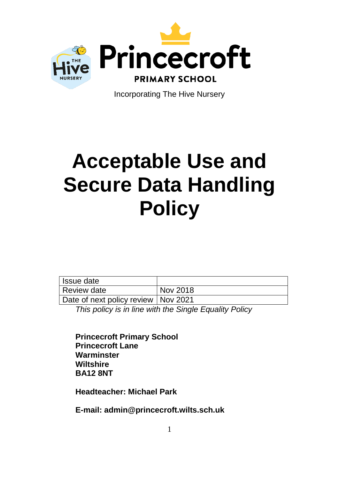

Incorporating The Hive Nursery

# **Acceptable Use and Secure Data Handling Policy**

| Issue date                            |          |
|---------------------------------------|----------|
| Review date                           | Nov 2018 |
| Date of next policy review   Nov 2021 |          |

*This policy is in line with the Single Equality Policy*

**Princecroft Primary School Princecroft Lane Warminster Wiltshire BA12 8NT**

**Headteacher: Michael Park**

**E-mail: admin@princecroft.wilts.sch.uk**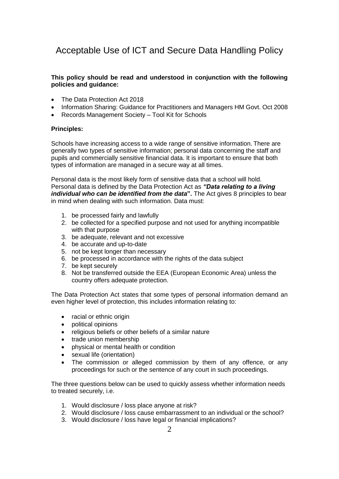## Acceptable Use of ICT and Secure Data Handling Policy

#### **This policy should be read and understood in conjunction with the following policies and guidance:**

- The Data Protection Act 2018
- Information Sharing: Guidance for Practitioners and Managers HM Govt. Oct 2008
- Records Management Society Tool Kit for Schools

#### **Principles:**

Schools have increasing access to a wide range of sensitive information. There are generally two types of sensitive information; personal data concerning the staff and pupils and commercially sensitive financial data. It is important to ensure that both types of information are managed in a secure way at all times.

Personal data is the most likely form of sensitive data that a school will hold. Personal data is defined by the Data Protection Act as *"Data relating to a living individual who can be identified from the data*". The Act gives 8 principles to bear in mind when dealing with such information. Data must:

- 1. be processed fairly and lawfully
- 2. be collected for a specified purpose and not used for anything incompatible with that purpose
- 3. be adequate, relevant and not excessive
- 4. be accurate and up-to-date
- 5. not be kept longer than necessary
- 6. be processed in accordance with the rights of the data subject
- 7. be kept securely
- 8. Not be transferred outside the EEA (European Economic Area) unless the country offers adequate protection.

The Data Protection Act states that some types of personal information demand an even higher level of protection, this includes information relating to:

- racial or ethnic origin
- political opinions
- religious beliefs or other beliefs of a similar nature
- trade union membership
- physical or mental health or condition
- sexual life (orientation)
- The commission or alleged commission by them of any offence, or any proceedings for such or the sentence of any court in such proceedings.

The three questions below can be used to quickly assess whether information needs to treated securely, i.e.

- 1. Would disclosure / loss place anyone at risk?
- 2. Would disclosure / loss cause embarrassment to an individual or the school?
- 3. Would disclosure / loss have legal or financial implications?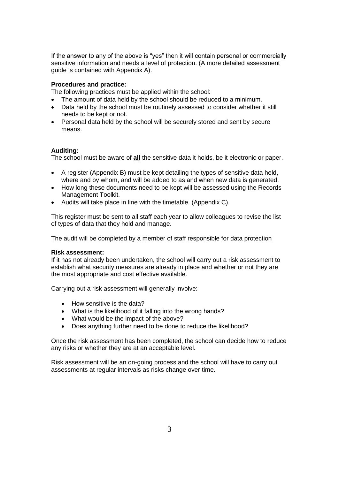If the answer to any of the above is "yes" then it will contain personal or commercially sensitive information and needs a level of protection. (A more detailed assessment guide is contained with Appendix A).

#### **Procedures and practice:**

The following practices must be applied within the school:

- The amount of data held by the school should be reduced to a minimum.
- Data held by the school must be routinely assessed to consider whether it still needs to be kept or not.
- Personal data held by the school will be securely stored and sent by secure means.

#### **Auditing:**

The school must be aware of **all** the sensitive data it holds, be it electronic or paper.

- A register (Appendix B) must be kept detailing the types of sensitive data held, where and by whom, and will be added to as and when new data is generated.
- How long these documents need to be kept will be assessed using the Records Management Toolkit.
- Audits will take place in line with the timetable. (Appendix C).

This register must be sent to all staff each year to allow colleagues to revise the list of types of data that they hold and manage.

The audit will be completed by a member of staff responsible for data protection

#### **Risk assessment:**

If it has not already been undertaken, the school will carry out a risk assessment to establish what security measures are already in place and whether or not they are the most appropriate and cost effective available.

Carrying out a risk assessment will generally involve:

- How sensitive is the data?
- What is the likelihood of it falling into the wrong hands?
- What would be the impact of the above?
- Does anything further need to be done to reduce the likelihood?

Once the risk assessment has been completed, the school can decide how to reduce any risks or whether they are at an acceptable level.

Risk assessment will be an on-going process and the school will have to carry out assessments at regular intervals as risks change over time.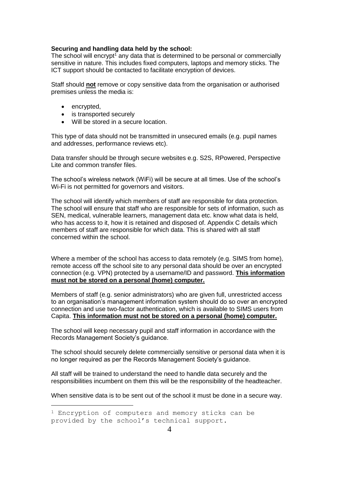#### **Securing and handling data held by the school:**

The school will encrypt<sup>1</sup> any data that is determined to be personal or commercially sensitive in nature. This includes fixed computers, laptops and memory sticks. The ICT support should be contacted to facilitate encryption of devices.

Staff should **not** remove or copy sensitive data from the organisation or authorised premises unless the media is:

• encrypted,

 $\overline{a}$ 

- is transported securely
- Will be stored in a secure location.

This type of data should not be transmitted in unsecured emails (e.g. pupil names and addresses, performance reviews etc).

Data transfer should be through secure websites e.g. S2S, RPowered, Perspective Lite and common transfer files.

The school's wireless network (WiFi) will be secure at all times. Use of the school's Wi-Fi is not permitted for governors and visitors.

The school will identify which members of staff are responsible for data protection. The school will ensure that staff who are responsible for sets of information, such as SEN, medical, vulnerable learners, management data etc. know what data is held, who has access to it, how it is retained and disposed of. Appendix C details which members of staff are responsible for which data. This is shared with all staff concerned within the school.

Where a member of the school has access to data remotely (e.g. SIMS from home), remote access off the school site to any personal data should be over an encrypted connection (e.g. VPN) protected by a username/ID and password. **This information must not be stored on a personal (home) computer.**

Members of staff (e.g. senior administrators) who are given full, unrestricted access to an organisation's management information system should do so over an encrypted connection and use two-factor authentication, which is available to SIMS users from Capita. **This information must not be stored on a personal (home) computer.**

The school will keep necessary pupil and staff information in accordance with the Records Management Society's guidance.

The school should securely delete commercially sensitive or personal data when it is no longer required as per the Records Management Society's guidance.

All staff will be trained to understand the need to handle data securely and the responsibilities incumbent on them this will be the responsibility of the headteacher.

When sensitive data is to be sent out of the school it must be done in a secure way.

<sup>&</sup>lt;sup>1</sup> Encryption of computers and memory sticks can be provided by the school's technical support.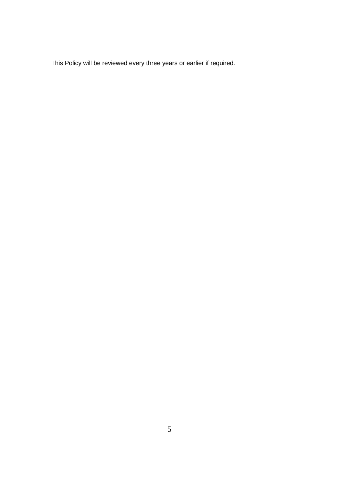This Policy will be reviewed every three years or earlier if required.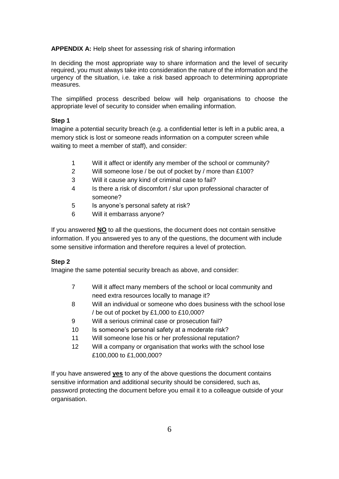**APPENDIX A:** Help sheet for assessing risk of sharing information

In deciding the most appropriate way to share information and the level of security required, you must always take into consideration the nature of the information and the urgency of the situation, i.e. take a risk based approach to determining appropriate measures.

The simplified process described below will help organisations to choose the appropriate level of security to consider when emailing information.

#### **Step 1**

Imagine a potential security breach (e.g. a confidential letter is left in a public area, a memory stick is lost or someone reads information on a computer screen while waiting to meet a member of staff), and consider:

- 1 Will it affect or identify any member of the school or community?
- 2 Will someone lose / be out of pocket by / more than £100?
- 3 Will it cause any kind of criminal case to fail?
- 4 Is there a risk of discomfort / slur upon professional character of someone?
- 5 Is anyone's personal safety at risk?
- 6 Will it embarrass anyone?

If you answered **NO** to all the questions, the document does not contain sensitive information. If you answered yes to any of the questions, the document with include some sensitive information and therefore requires a level of protection.

#### **Step 2**

Imagine the same potential security breach as above, and consider:

- 7 Will it affect many members of the school or local community and need extra resources locally to manage it?
- 8 Will an individual or someone who does business with the school lose / be out of pocket by £1,000 to £10,000?
- 9 Will a serious criminal case or prosecution fail?
- 10 Is someone's personal safety at a moderate risk?
- 11 Will someone lose his or her professional reputation?
- 12 Will a company or organisation that works with the school lose £100,000 to £1,000,000?

If you have answered **yes** to any of the above questions the document contains sensitive information and additional security should be considered, such as, password protecting the document before you email it to a colleague outside of your organisation.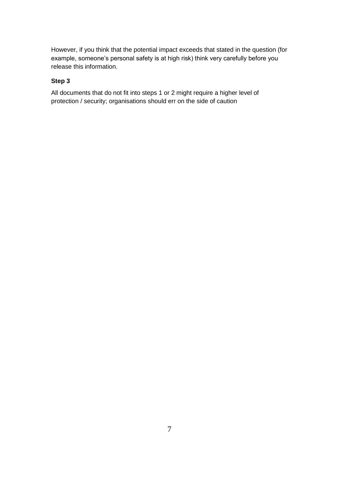However, if you think that the potential impact exceeds that stated in the question (for example, someone's personal safety is at high risk) think very carefully before you release this information.

### **Step 3**

All documents that do not fit into steps 1 or 2 might require a higher level of protection / security; organisations should err on the side of caution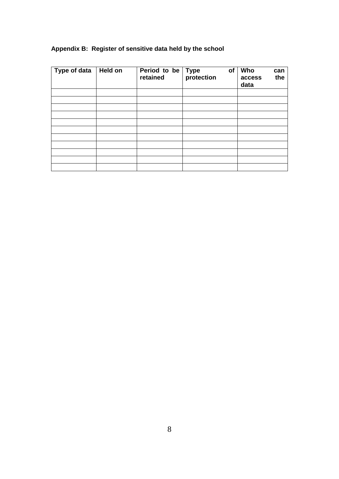| Type of data | <b>Held on</b> | Period to be Type<br>retained protection | of | Who<br>can<br>the<br>access<br>data |
|--------------|----------------|------------------------------------------|----|-------------------------------------|
|              |                |                                          |    |                                     |
|              |                |                                          |    |                                     |
|              |                |                                          |    |                                     |
|              |                |                                          |    |                                     |
|              |                |                                          |    |                                     |
|              |                |                                          |    |                                     |
|              |                |                                          |    |                                     |
|              |                |                                          |    |                                     |
|              |                |                                          |    |                                     |
|              |                |                                          |    |                                     |
|              |                |                                          |    |                                     |

## **Appendix B: Register of sensitive data held by the school**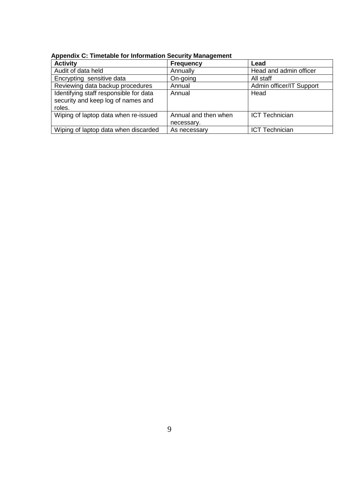| <b>Activity</b>                                                                        | <b>Frequency</b>                   | Lead                     |
|----------------------------------------------------------------------------------------|------------------------------------|--------------------------|
| Audit of data held                                                                     | Annually                           | Head and admin officer   |
| Encrypting sensitive data                                                              | On-going                           | All staff                |
| Reviewing data backup procedures                                                       | Annual                             | Admin officer/IT Support |
| Identifying staff responsible for data<br>security and keep log of names and<br>roles. | Annual                             | Head                     |
| Wiping of laptop data when re-issued                                                   | Annual and then when<br>necessary. | <b>ICT Technician</b>    |
| Wiping of laptop data when discarded                                                   | As necessary                       | <b>ICT Technician</b>    |

**Appendix C: Timetable for Information Security Management**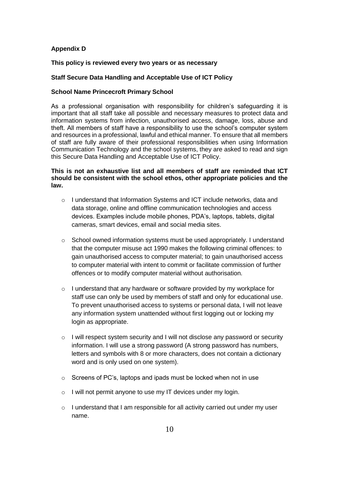#### **Appendix D**

#### **This policy is reviewed every two years or as necessary**

#### **Staff Secure Data Handling and Acceptable Use of ICT Policy**

#### **School Name Princecroft Primary School**

As a professional organisation with responsibility for children's safeguarding it is important that all staff take all possible and necessary measures to protect data and information systems from infection, unauthorised access, damage, loss, abuse and theft. All members of staff have a responsibility to use the school's computer system and resources in a professional, lawful and ethical manner. To ensure that all members of staff are fully aware of their professional responsibilities when using Information Communication Technology and the school systems, they are asked to read and sign this Secure Data Handling and Acceptable Use of ICT Policy.

#### **This is not an exhaustive list and all members of staff are reminded that ICT should be consistent with the school ethos, other appropriate policies and the law.**

- o I understand that Information Systems and ICT include networks, data and data storage, online and offline communication technologies and access devices. Examples include mobile phones, PDA's, laptops, tablets, digital cameras, smart devices, email and social media sites.
- $\circ$  School owned information systems must be used appropriately. I understand that the computer misuse act 1990 makes the following criminal offences: to gain unauthorised access to computer material; to gain unauthorised access to computer material with intent to commit or facilitate commission of further offences or to modify computer material without authorisation.
- $\circ$  I understand that any hardware or software provided by my workplace for staff use can only be used by members of staff and only for educational use. To prevent unauthorised access to systems or personal data, I will not leave any information system unattended without first logging out or locking my login as appropriate.
- o I will respect system security and I will not disclose any password or security information. I will use a strong password (A strong password has numbers, letters and symbols with 8 or more characters, does not contain a dictionary word and is only used on one system).
- o Screens of PC's, laptops and ipads must be locked when not in use
- o I will not permit anyone to use my IT devices under my login.
- o I understand that I am responsible for all activity carried out under my user name.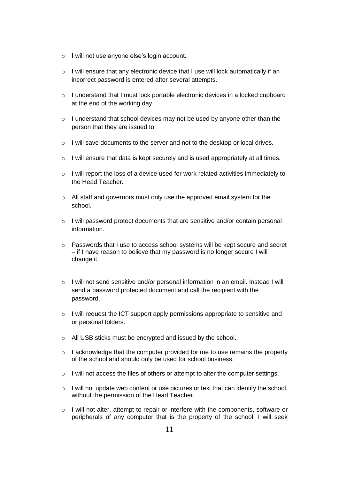- o I will not use anyone else's login account.
- o I will ensure that any electronic device that I use will lock automatically if an incorrect password is entered after several attempts.
- o I understand that I must lock portable electronic devices in a locked cupboard at the end of the working day.
- o I understand that school devices may not be used by anyone other than the person that they are issued to.
- o I will save documents to the server and not to the desktop or local drives.
- o I will ensure that data is kept securely and is used appropriately at all times.
- o I will report the loss of a device used for work related activities immediately to the Head Teacher.
- o All staff and governors must only use the approved email system for the school.
- o I will password protect documents that are sensitive and/or contain personal information.
- o Passwords that I use to access school systems will be kept secure and secret – if I have reason to believe that my password is no longer secure I will change it.
- o I will not send sensitive and/or personal information in an email. Instead I will send a password protected document and call the recipient with the password.
- o I will request the ICT support apply permissions appropriate to sensitive and or personal folders.
- o All USB sticks must be encrypted and issued by the school.
- $\circ$  I acknowledge that the computer provided for me to use remains the property of the school and should only be used for school business.
- $\circ$  I will not access the files of others or attempt to alter the computer settings.
- $\circ$  I will not update web content or use pictures or text that can identify the school, without the permission of the Head Teacher.
- $\circ$  I will not alter, attempt to repair or interfere with the components, software or peripherals of any computer that is the property of the school. I will seek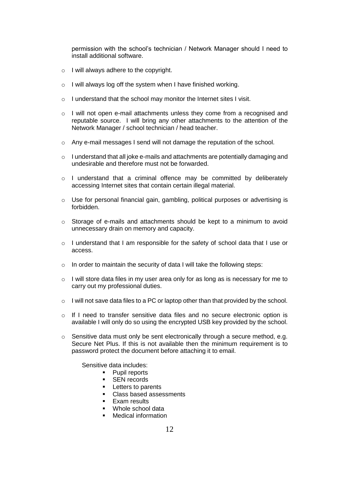permission with the school's technician / Network Manager should I need to install additional software.

- o I will always adhere to the copyright.
- o I will always log off the system when I have finished working.
- o I understand that the school may monitor the Internet sites I visit.
- o I will not open e-mail attachments unless they come from a recognised and reputable source. I will bring any other attachments to the attention of the Network Manager / school technician / head teacher.
- $\circ$  Any e-mail messages I send will not damage the reputation of the school.
- $\circ$  I understand that all joke e-mails and attachments are potentially damaging and undesirable and therefore must not be forwarded.
- o I understand that a criminal offence may be committed by deliberately accessing Internet sites that contain certain illegal material.
- o Use for personal financial gain, gambling, political purposes or advertising is forbidden.
- $\circ$  Storage of e-mails and attachments should be kept to a minimum to avoid unnecessary drain on memory and capacity.
- o I understand that I am responsible for the safety of school data that I use or access.
- o In order to maintain the security of data I will take the following steps:
- $\circ$  I will store data files in my user area only for as long as is necessary for me to carry out my professional duties.
- $\circ$  I will not save data files to a PC or laptop other than that provided by the school.
- o If I need to transfer sensitive data files and no secure electronic option is available I will only do so using the encrypted USB key provided by the school.
- $\circ$  Sensitive data must only be sent electronically through a secure method, e.g. Secure Net Plus. If this is not available then the minimum requirement is to password protect the document before attaching it to email.

Sensitive data includes:

- Pupil reports
- **SEN** records
- **Letters to parents**
- Class based assessments
- $\blacksquare$  Fxam results
- Whole school data
- Medical information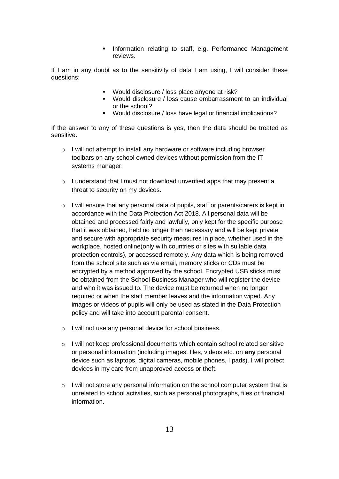**Information relating to staff, e.g. Performance Management** reviews.

If I am in any doubt as to the sensitivity of data I am using, I will consider these questions:

- Would disclosure / loss place anyone at risk?
- Would disclosure / loss cause embarrassment to an individual or the school?
- Would disclosure / loss have legal or financial implications?

If the answer to any of these questions is yes, then the data should be treated as sensitive.

- o I will not attempt to install any hardware or software including browser toolbars on any school owned devices without permission from the IT systems manager.
- o I understand that I must not download unverified apps that may present a threat to security on my devices.
- $\circ$  I will ensure that any personal data of pupils, staff or parents/carers is kept in accordance with the Data Protection Act 2018. All personal data will be obtained and processed fairly and lawfully, only kept for the specific purpose that it was obtained, held no longer than necessary and will be kept private and secure with appropriate security measures in place, whether used in the workplace, hosted online(only with countries or sites with suitable data protection controls), or accessed remotely. Any data which is being removed from the school site such as via email, memory sticks or CDs must be encrypted by a method approved by the school. Encrypted USB sticks must be obtained from the School Business Manager who will register the device and who it was issued to. The device must be returned when no longer required or when the staff member leaves and the information wiped. Any images or videos of pupils will only be used as stated in the Data Protection policy and will take into account parental consent.
- o I will not use any personal device for school business.
- o I will not keep professional documents which contain school related sensitive or personal information (including images, files, videos etc. on **any** personal device such as laptops, digital cameras, mobile phones, I pads). I will protect devices in my care from unapproved access or theft.
- o I will not store any personal information on the school computer system that is unrelated to school activities, such as personal photographs, files or financial information.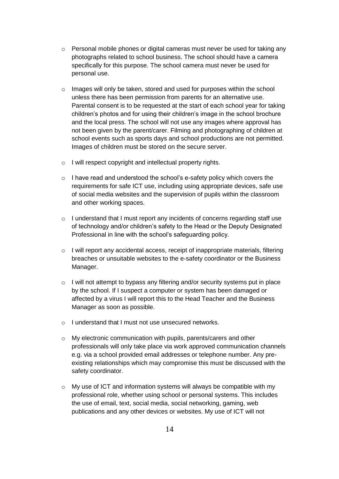- $\circ$  Personal mobile phones or digital cameras must never be used for taking any photographs related to school business. The school should have a camera specifically for this purpose. The school camera must never be used for personal use.
- $\circ$  Images will only be taken, stored and used for purposes within the school unless there has been permission from parents for an alternative use. Parental consent is to be requested at the start of each school year for taking children's photos and for using their children's image in the school brochure and the local press. The school will not use any images where approval has not been given by the parent/carer. Filming and photographing of children at school events such as sports days and school productions are not permitted. Images of children must be stored on the secure server.
- o I will respect copyright and intellectual property rights.
- o I have read and understood the school's e-safety policy which covers the requirements for safe ICT use, including using appropriate devices, safe use of social media websites and the supervision of pupils within the classroom and other working spaces.
- o I understand that I must report any incidents of concerns regarding staff use of technology and/or children's safety to the Head or the Deputy Designated Professional in line with the school's safeguarding policy.
- $\circ$  I will report any accidental access, receipt of inappropriate materials, filtering breaches or unsuitable websites to the e-safety coordinator or the Business Manager.
- $\circ$  I will not attempt to bypass any filtering and/or security systems put in place by the school. If I suspect a computer or system has been damaged or affected by a virus I will report this to the Head Teacher and the Business Manager as soon as possible.
- o I understand that I must not use unsecured networks.
- o My electronic communication with pupils, parents/carers and other professionals will only take place via work approved communication channels e.g. via a school provided email addresses or telephone number. Any preexisting relationships which may compromise this must be discussed with the safety coordinator.
- $\circ$  My use of ICT and information systems will always be compatible with my professional role, whether using school or personal systems. This includes the use of email, text, social media, social networking, gaming, web publications and any other devices or websites. My use of ICT will not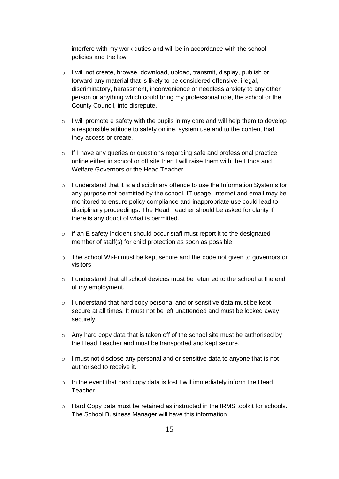interfere with my work duties and will be in accordance with the school policies and the law.

- o I will not create, browse, download, upload, transmit, display, publish or forward any material that is likely to be considered offensive, illegal, discriminatory, harassment, inconvenience or needless anxiety to any other person or anything which could bring my professional role, the school or the County Council, into disrepute.
- $\circ$  I will promote e safety with the pupils in my care and will help them to develop a responsible attitude to safety online, system use and to the content that they access or create.
- o If I have any queries or questions regarding safe and professional practice online either in school or off site then I will raise them with the Ethos and Welfare Governors or the Head Teacher.
- o I understand that it is a disciplinary offence to use the Information Systems for any purpose not permitted by the school. IT usage, internet and email may be monitored to ensure policy compliance and inappropriate use could lead to disciplinary proceedings. The Head Teacher should be asked for clarity if there is any doubt of what is permitted.
- o If an E safety incident should occur staff must report it to the designated member of staff(s) for child protection as soon as possible.
- $\circ$  The school Wi-Fi must be kept secure and the code not given to governors or visitors
- $\circ$  I understand that all school devices must be returned to the school at the end of my employment.
- o I understand that hard copy personal and or sensitive data must be kept secure at all times. It must not be left unattended and must be locked away securely.
- $\circ$  Any hard copy data that is taken off of the school site must be authorised by the Head Teacher and must be transported and kept secure.
- o I must not disclose any personal and or sensitive data to anyone that is not authorised to receive it.
- o In the event that hard copy data is lost I will immediately inform the Head Teacher.
- $\circ$  Hard Copy data must be retained as instructed in the IRMS toolkit for schools. The School Business Manager will have this information